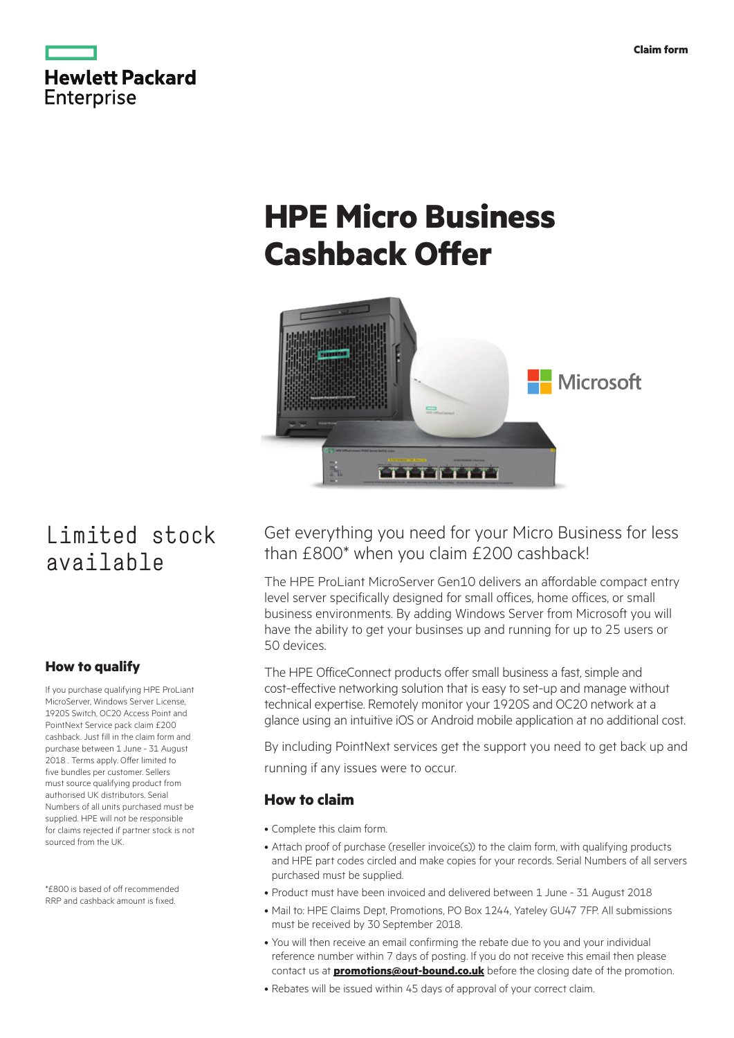

# **HPE Micro Business Cashback Offer**



## Limited stock available

## **How to qualify**

If you purchase qualifying HPE ProLiant MicroServer, Windows Server License, 1920S Switch, OC20 Access Point and PointNext Service pack claim £200 cashback. Just fill in the claim form and purchase between 1 June - 31 August 2018 . Terms apply. Offer limited to five bundles per customer. Sellers must source qualifying product from authorised UK distributors. Serial Numbers of all units purchased must be supplied. HPE will not be responsible for claims rejected if partner stock is not sourced from the UK.

\*£800 is based of off recommended RRP and cashback amount is fixed.

## Get everything you need for your Micro Business for less than £800\* when you claim £200 cashback!

The HPE ProLiant MicroServer Gen10 delivers an affordable compact entry level server specifically designed for small offices, home offices, or small business environments. By adding Windows Server from Microsoft you will have the ability to get your businses up and running for up to 25 users or 50 devices.

The HPE OfficeConnect products offer small business a fast, simple and cost-effective networking solution that is easy to set-up and manage without technical expertise. Remotely monitor your 1920S and OC20 network at a glance using an intuitive iOS or Android mobile application at no additional cost.

By including PointNext services get the support you need to get back up and running if any issues were to occur.

## **How to claim**

- • Complete this claim form.
- Attach proof of purchase (reseller invoice(s)) to the claim form, with qualifying products and HPE part codes circled and make copies for your records. Serial Numbers of all servers purchased must be supplied.
- Product must have been invoiced and delivered between 1 June 31 August 2018
- Mail to: HPE Claims Dept, Promotions, PO Box 1244, Yateley GU47 7FP. All submissions must be received by 30 September 2018.
- You will then receive an email confirming the rebate due to you and your individual reference number within 7 days of posting. If you do not receive this email then please contact us at **[promotions@out-bound.co.uk](http://promotions@out-bound.co.uk)** before the closing date of the promotion.
- Rebates will be issued within 45 days of approval of your correct claim.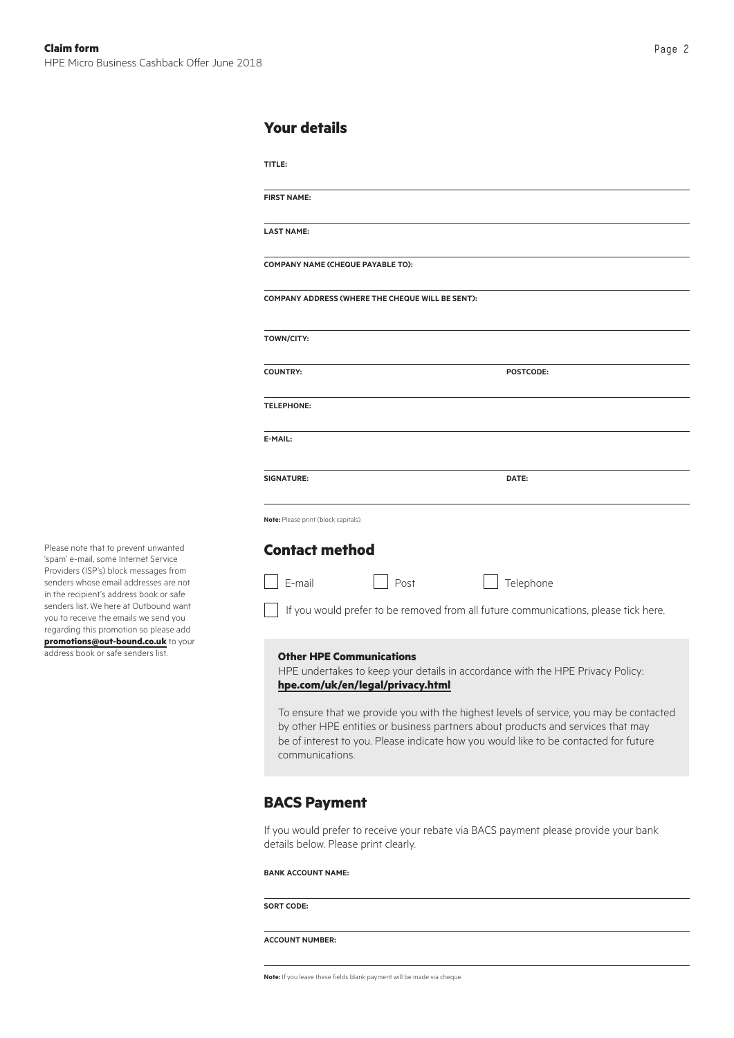#### **Your details**

| <b>FIRST NAME:</b>                   |                                                  |                                                                                                                                                                               |  |  |  |  |
|--------------------------------------|--------------------------------------------------|-------------------------------------------------------------------------------------------------------------------------------------------------------------------------------|--|--|--|--|
|                                      |                                                  |                                                                                                                                                                               |  |  |  |  |
| <b>LAST NAME:</b>                    |                                                  |                                                                                                                                                                               |  |  |  |  |
| COMPANY NAME (CHEQUE PAYABLE TO):    |                                                  |                                                                                                                                                                               |  |  |  |  |
|                                      |                                                  |                                                                                                                                                                               |  |  |  |  |
|                                      | COMPANY ADDRESS (WHERE THE CHEQUE WILL BE SENT): |                                                                                                                                                                               |  |  |  |  |
|                                      |                                                  |                                                                                                                                                                               |  |  |  |  |
| <b>TOWN/CITY:</b>                    |                                                  |                                                                                                                                                                               |  |  |  |  |
| <b>COUNTRY:</b>                      |                                                  | POSTCODE:                                                                                                                                                                     |  |  |  |  |
|                                      |                                                  |                                                                                                                                                                               |  |  |  |  |
| <b>TELEPHONE:</b>                    |                                                  |                                                                                                                                                                               |  |  |  |  |
| E-MAIL:                              |                                                  |                                                                                                                                                                               |  |  |  |  |
|                                      |                                                  |                                                                                                                                                                               |  |  |  |  |
| <b>SIGNATURE:</b>                    |                                                  | DATE:                                                                                                                                                                         |  |  |  |  |
|                                      |                                                  |                                                                                                                                                                               |  |  |  |  |
| Note: Please print (block capitals). |                                                  |                                                                                                                                                                               |  |  |  |  |
|                                      |                                                  |                                                                                                                                                                               |  |  |  |  |
|                                      |                                                  |                                                                                                                                                                               |  |  |  |  |
|                                      |                                                  |                                                                                                                                                                               |  |  |  |  |
| <b>Contact method</b><br>E-mail      | Post                                             | Telephone                                                                                                                                                                     |  |  |  |  |
|                                      |                                                  |                                                                                                                                                                               |  |  |  |  |
|                                      |                                                  |                                                                                                                                                                               |  |  |  |  |
|                                      | <b>Other HPE Communications</b>                  |                                                                                                                                                                               |  |  |  |  |
|                                      |                                                  | HPE undertakes to keep your details in accordance with the HPE Privacy Policy:                                                                                                |  |  |  |  |
|                                      | hpe.com/uk/en/legal/privacy.html                 |                                                                                                                                                                               |  |  |  |  |
|                                      |                                                  | If you would prefer to be removed from all future communications, please tick here.<br>To ensure that we provide you with the highest levels of service, you may be contacted |  |  |  |  |
|                                      |                                                  | by other HPE entities or business partners about products and services that may<br>be of interest to you. Please indicate how you would like to be contacted for future       |  |  |  |  |

## **BACS Payment**

If you would prefer to receive your rebate via BACS payment please provide your bank details below. Please print clearly.

#### **Bank account name:**

**Sort code:**

#### **Account number:**

**Note:** If you leave these fields blank payment will be made via cheque.

Please note that to prevent unwanted 'spam' e-mail, some Internet Service Providers (ISP's) block messages from senders whose email addresses are not in the recipient's address book or safe senders list. We here at Outbound want you to receive the emails we send you regarding this promotion so please add **[promotions@out-bound.co.uk](mailto:promotions%40out-bound.co.uk?subject=)** to your address book or safe senders list.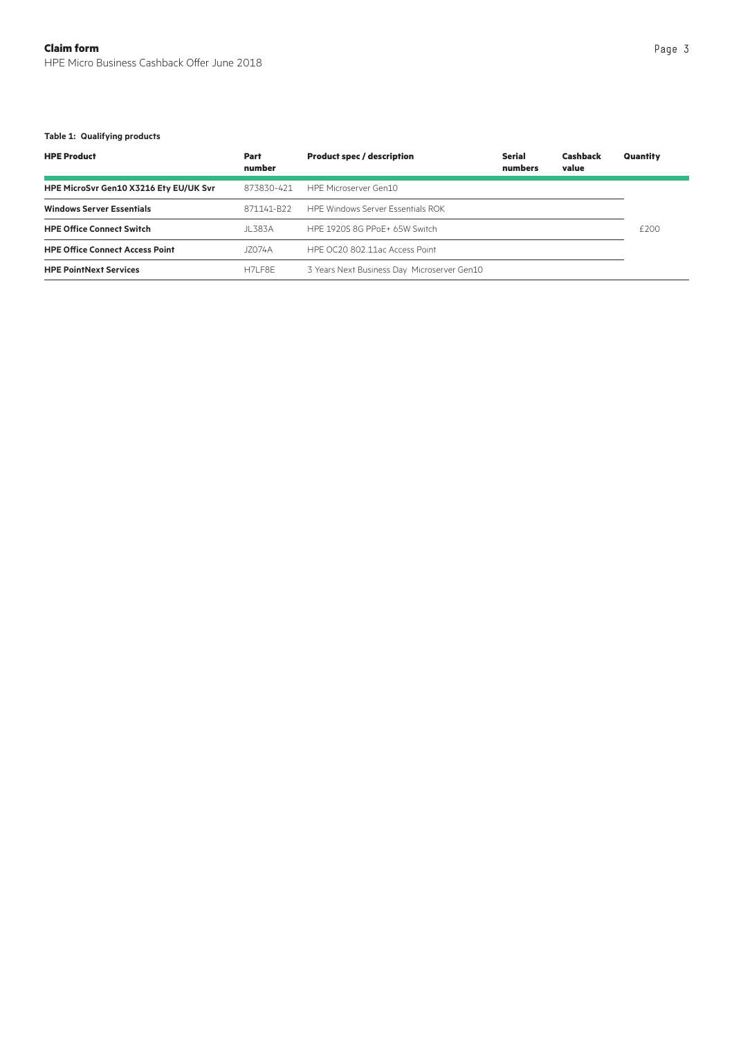#### **Table 1: Qualifying products**

| <b>HPE Product</b>                     | Part<br>number         | <b>Product spec / description</b>           | Serial<br>numbers | <b>Cashback</b><br>value | Quantity |
|----------------------------------------|------------------------|---------------------------------------------|-------------------|--------------------------|----------|
| HPE MicroSvr Gen10 X3216 Ety EU/UK Svr | 873830-421             | HPE Microserver Gen10                       |                   |                          |          |
| <b>Windows Server Essentials</b>       | 871141-B <sub>22</sub> | <b>HPF Windows Server Essentials ROK</b>    |                   |                          |          |
| <b>HPE Office Connect Switch</b>       | JI 383A                | HPF 1920S 8G PPoF+ 65W Switch               |                   |                          | £200     |
| <b>HPE Office Connect Access Point</b> | J7074A                 | HPF OC20 802.11ac Access Point              |                   |                          |          |
| <b>HPE PointNext Services</b>          | <b>H7I F8F</b>         | 3 Years Next Business Day Microserver Gen10 |                   |                          |          |